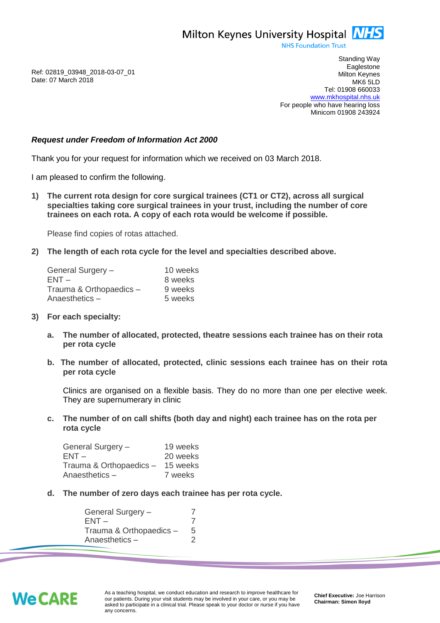Milton Keynes University Hospital **NHS** 

**NHS Foundation Trust** 

Ref: 02819\_03948\_2018-03-07\_01 Date: 07 March 2018

Standing Way **Eaglestone** Milton Keynes MK6 5LD Tel: 01908 660033 [www.mkhospital.nhs.uk](http://www.mkhospital.nhs.uk/) For people who have hearing loss Minicom 01908 243924

## *Request under Freedom of Information Act 2000*

Thank you for your request for information which we received on 03 March 2018.

I am pleased to confirm the following.

**1) The current rota design for core surgical trainees (CT1 or CT2), across all surgical specialties taking core surgical trainees in your trust, including the number of core trainees on each rota. A copy of each rota would be welcome if possible.** 

Please find copies of rotas attached.

**2) The length of each rota cycle for the level and specialties described above.** 

| General Surgery -       | 10 weeks |
|-------------------------|----------|
| $ENT -$                 | 8 weeks  |
| Trauma & Orthopaedics - | 9 weeks  |
| Anaesthetics-           | 5 weeks  |

- **3) For each specialty:**
	- **a. The number of allocated, protected, theatre sessions each trainee has on their rota per rota cycle**
	- **b. The number of allocated, protected, clinic sessions each trainee has on their rota per rota cycle**

Clinics are organised on a flexible basis. They do no more than one per elective week. They are supernumerary in clinic

**c. The number of on call shifts (both day and night) each trainee has on the rota per rota cycle**

| General Surgery -       | 19 weeks |
|-------------------------|----------|
| $ENT -$                 | 20 weeks |
| Trauma & Orthopaedics - | 15 weeks |
| Anaesthetics –          | 7 weeks  |

**d. The number of zero days each trainee has per rota cycle.**

General Surgery – 7  $ENT - 7$ Trauma & Orthopaedics – 5 Anaesthetics – 2